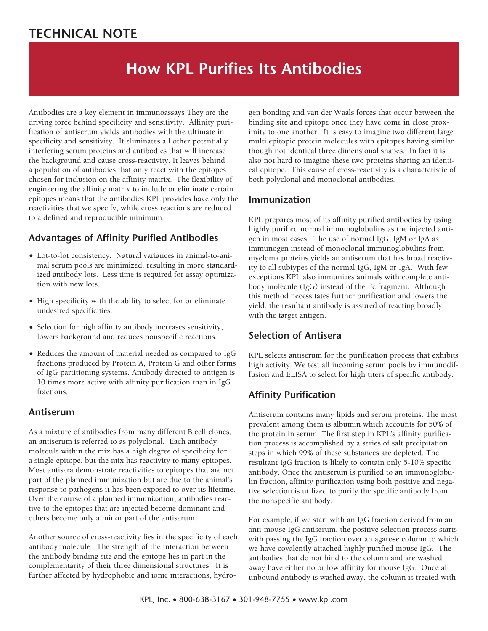## **TECHNICAL NOTE**

# **How KPL Purifies Its Antibodies**

Antibodies are a key element in immunoassays They are the driving force behind specificity and sensitivity. Affinity purification of antiserum yields antibodies with the ultimate in specificity and sensitivity. It eliminates all other potentially interfering serum proteins and antibodies that will increase the background and cause cross-reactivity. It leaves behind a population of antibodies that only react with the epitopes chosen for inclusion on the affinity matrix. The flexibility of engineering the affinity matrix to include or eliminate certain epitopes means that the antibodies KPL provides have only the reactivities that we specify, while cross reactions are reduced to a defined and reproducible minimum.

## **Advantages of Affinity Purified Antibodies**

- Lot-to-lot consistency. Natural variances in animal-to-animal serum pools are minimized, resulting in more standardized antibody lots. Less time is required for assay optimization with new lots.
- High specificity with the ability to select for or eliminate undesired specificities.
- Selection for high affinity antibody increases sensitivity, lowers background and reduces nonspecific reactions.
- Reduces the amount of material needed as compared to IgG fractions produced by Protein A, Protein G and other forms of IgG partitioning systems. Antibody directed to antigen is 10 times more active with affinity purification than in IgG fractions.

## **Antiserum**

As a mixture of antibodies from many different B cell clones, an antiserum is referred to as polyclonal. Each antibody molecule within the mix has a high degree of specificity for a single epitope, but the mix has reactivity to many epitopes. Most antisera demonstrate reactivities to epitopes that are not part of the planned immunization but are due to the animal's response to pathogens it has been exposed to over its lifetime. Over the course of a planned immunization, antibodies reactive to the epitopes that are injected become dominant and others become only a minor part of the antiserum.

Another source of cross-reactivity lies in the specificity of each antibody molecule. The strength of the interaction between the antibody binding site and the epitope lies in part in the complementarity of their three dimensional structures. It is further affected by hydrophobic and ionic interactions, hydrogen bonding and van der Waals forces that occur between the binding site and epitope once they have come in close proximity to one another. It is easy to imagine two different large multi epitopic protein molecules with epitopes having similar though not identical three dimensional shapes. In fact it is also not hard to imagine these two proteins sharing an identical epitope. This cause of cross-reactivity is a characteristic of both polyclonal and monoclonal antibodies.

#### **Immunization**

KPL prepares most of its affinity purified antibodies by using highly purified normal immunoglobulins as the injected antigen in most cases. The use of normal IgG, IgM or IgA as immunogen instead of monoclonal immunoglobulins from myeloma proteins yields an antiserum that has broad reactivity to all subtypes of the normal IgG, IgM or IgA. With few exceptions KPL also immunizes animals with complete antibody molecule (IgG) instead of the Fc fragment. Although this method necessitates further purification and lowers the yield, the resultant antibody is assured of reacting broadly with the target antigen.

## **Selection of Antisera**

KPL selects antiserum for the purification process that exhibits high activity. We test all incoming serum pools by immunodiffusion and ELISA to select for high titers of specific antibody.

## **Affinity Purification**

Antiserum contains many lipids and serum proteins. The most prevalent among them is albumin which accounts for 50% of the protein in serum. The first step in KPL's affinity purification process is accomplished by a series of salt precipitation steps in which 99% of these substances are depleted. The resultant IgG fraction is likely to contain only 5-10% specific antibody. Once the antiserum is purified to an immunoglobulin fraction, affinity purification using both positive and negative selection is utilized to purify the specific antibody from the nonspecific antibody.

For example, if we start with an IgG fraction derived from an anti-mouse IgG antiserum, the positive selection process starts with passing the IgG fraction over an agarose column to which we have covalently attached highly purified mouse IgG. The antibodies that do not bind to the column and are washed away have either no or low affinity for mouse IgG. Once all unbound antibody is washed away, the column is treated with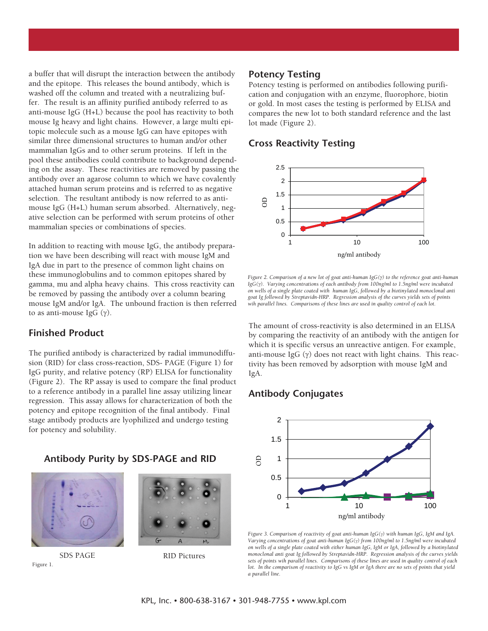a buffer that will disrupt the interaction between the antibody and the epitope. This releases the bound antibody, which is washed off the column and treated with a neutralizing buffer. The result is an affinity purified antibody referred to as anti-mouse IgG (H+L) because the pool has reactivity to both mouse Ig heavy and light chains. However, a large multi epitopic molecule such as a mouse IgG can have epitopes with similar three dimensional structures to human and/or other mammalian IgGs and to other serum proteins. If left in the pool these antibodies could contribute to background depending on the assay. These reactivities are removed by passing the antibody over an agarose column to which we have covalently attached human serum proteins and is referred to as negative selection. The resultant antibody is now referred to as antimouse IgG (H+L) human serum absorbed. Alternatively, negative selection can be performed with serum proteins of other mammalian species or combinations of species.

In addition to reacting with mouse IgG, the antibody preparation we have been describing will react with mouse IgM and IgA due in part to the presence of common light chains on these immunoglobulins and to common epitopes shared by gamma, mu and alpha heavy chains. This cross reactivity can be removed by passing the antibody over a column bearing mouse IgM and/or IgA. The unbound fraction is then referred to as anti-mouse IgG  $(\gamma)$ .

#### **Finished Product**

The purified antibody is characterized by radial immunodiffusion (RID) for class cross-reaction, SDS- PAGE (Figure 1) for IgG purity, and relative potency (RP) ELISA for functionality (Figure 2). The RP assay is used to compare the final product to a reference antibody in a parallel line assay utilizing linear regression. This assay allows for characterization of both the potency and epitope recognition of the final antibody. Final stage antibody products are lyophilized and undergo testing for potency and solubility.

#### **Antibody Purity by SDS-PAGE and RID**



Figure 1.



SDS PAGE RID Pictures

#### **Potency Testing**

Potency testing is performed on antibodies following purification and conjugation with an enzyme, fluorophore, biotin or gold. In most cases the testing is performed by ELISA and compares the new lot to both standard reference and the last lot made (Figure 2).

#### **Cross Reactivity Testing**



*Figure 2. Comparison of a new lot of goat anti-human IgG() to the reference goat anti-human IgG(). Varying concentrations of each antibody from 100ng/ml to 1.5ng/ml were incubated on wells of a single plate coated with human IgG, followed by a biotinylated monoclonal anti goat Ig followed by Streptavidn-HRP. Regression analysis of the curves yields sets of points wih parallel lines. Comparisons of these lines are used in quality control of each lot.*

The amount of cross-reactivity is also determined in an ELISA by comparing the reactivity of an antibody with the antigen for which it is specific versus an unreactive antigen. For example, anti-mouse IgG  $(y)$  does not react with light chains. This reactivity has been removed by adsorption with mouse IgM and IgA.

## **Antibody Conjugates**



*Figure 3. Comparison of reactivity of goat anti-human IgG() with human IgG, IgM and IgA. Varying concentrations of goat anti-human IgG() from 100ng/ml to 1.5ng/ml were incubated on wells of a single plate coated with either human IgG, IgM or IgA, followed by a biotinylated monoclonal anti goat Ig followed by Streptavidn-HRP. Regression analysis of the curves yields sets of points wih parallel lines. Comparisons of these lines are used in quality control of each lot. In the comparison of reactivity to IgG vs IgM or IgA there are no sets of points that yield a parallel line.*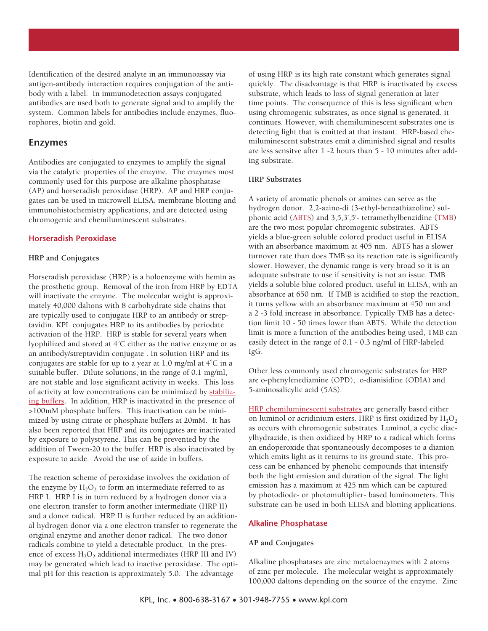Identification of the desired analyte in an immunoassay via antigen-antibody interaction requires conjugation of the antibody with a label. In immunodetection assays conjugated antibodies are used both to generate signal and to amplify the system. Common labels for antibodies include enzymes, fluorophores, biotin and gold.

#### **Enzymes**

Antibodies are conjugated to enzymes to amplify the signal via the catalytic properties of the enzyme. The enzymes most commonly used for this purpose are alkaline phosphatase (AP) and horseradish peroxidase (HRP). AP and HRP conjugates can be used in microwell ELISA, membrane blotting and immunohistochemistry applications, and are detected using chromogenic and chemiluminescent substrates.

#### **Horseradish Peroxidase**

#### **HRP and Conjugates**

Horseradish peroxidase (HRP) is a holoenzyme with hemin as the prosthetic group. Removal of the iron from HRP by EDTA will inactivate the enzyme. The molecular weight is approximately 40,000 daltons with 8 carbohydrate side chains that are typically used to conjugate HRP to an antibody or streptavidin. KPL conjugates HRP to its antibodies by periodate activation of the HRP. HRP is stable for several years when lyophilized and stored at 4°C either as the native enzyme or as an antibody/streptavidin conjugate . In solution HRP and its conjugates are stable for up to a year at  $1.0$  mg/ml at  $4^{\circ}$ C in a suitable buffer. Dilute solutions, in the range of 0.1 mg/ml, are not stable and lose significant activity in weeks. This loss of activity at low concentrations can be minimized by stabilizing buffers. In addition, HRP is inactivated in the presence of >100mM phosphate buffers. This inactivation can be minimized by using citrate or phosphate buffers at 20mM. It has also been reported that HRP and its conjugates are inactivated by exposure to polystyrene. This can be prevented by the addition of Tween-20 to the buffer. HRP is also inactivated by exposure to azide. Avoid the use of azide in buffers.

The reaction scheme of peroxidase involves the oxidation of the enzyme by  $H_2O_2$  to form an intermediate referred to as HRP I. HRP I is in turn reduced by a hydrogen donor via a one electron transfer to form another intermediate (HRP II) and a donor radical. HRP II is further reduced by an additional hydrogen donor via a one electron transfer to regenerate the original enzyme and another donor radical. The two donor radicals combine to yield a detectable product. In the presence of excess  $H_2O_2$  additional intermediates (HRP III and IV) may be generated which lead to inactive peroxidase. The optimal pH for this reaction is approximately 5.0. The advantage

of using HRP is its high rate constant which generates signal quickly. The disadvantage is that HRP is inactivated by excess substrate, which leads to loss of signal generation at later time points. The consequence of this is less significant when using chromogenic substrates, as once signal is generated, it continues. However, with chemiluminescent substrates one is detecting light that is emitted at that instant. HRP-based chemiluminescent substrates emit a diminished signal and results are less sensitve after 1 -2 hours than 5 - 10 minutes after adding substrate.

#### **HRP Substrates**

A variety of aromatic phenols or amines can serve as the hydrogen donor. 2,2-azino-di (3-ethyl-benzathiazoline) sulphonic acid  $(ABTS)$  and 3,5,3',5'- tetramethylbenzidine  $(TMB)$ are the two most popular chromogenic substrates. ABTS yields a blue-green soluble colored product useful in ELISA with an absorbance maximum at 405 nm. ABTS has a slower turnover rate than does TMB so its reaction rate is significantly slower. However, the dynamic range is very broad so it is an adequate substrate to use if sensitivity is not an issue. TMB yields a soluble blue colored product, useful in ELISA, with an absorbance at 650 nm. If TMB is acidified to stop the reaction, it turns yellow with an absorbance maximum at 450 nm and a 2 -3 fold increase in absorbance. Typically TMB has a detection limit 10 - 50 times lower than ABTS. While the detection limit is more a function of the antibodies being used, TMB can easily detect in the range of 0.1 - 0.3 ng/ml of HRP-labeled IgG.

Other less commonly used chromogenic substrates for HRP are o-phenylenediamine (OPD), o-dianisidine (ODIA) and 5-aminosalicylic acid (5AS).

HRP chemiluminescent substrates are generally based either on luminol or acridinium esters. HRP is first oxidized by  $H_2O_2$ as occurs with chromogenic substrates. Luminol, a cyclic diacylhydrazide, is then oxidized by HRP to a radical which forms an endoperoxide that spontaneously decomposes to a dianion which emits light as it returns to its ground state. This process can be enhanced by phenolic compounds that intensify both the light emission and duration of the signal. The light emission has a maximum at 425 nm which can be captured by photodiode- or photomultiplier- based luminometers. This substrate can be used in both ELISA and blotting applications.

#### **Alkaline Phosphatase**

#### **AP and Conjugates**

Alkaline phosphatases are zinc metaloenzymes with 2 atoms of zinc per molecule. The molecular weight is approximately 100,000 daltons depending on the source of the enzyme. Zinc